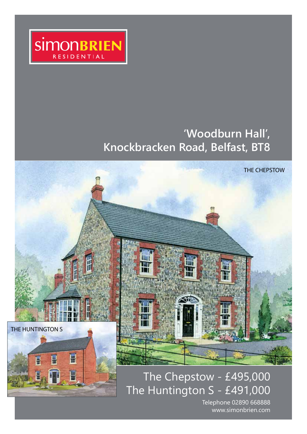

# **'Woodburn Hall', Knockbracken Road, Belfast, BT8**



# The Chepstow - £495,000 The Huntington S - £491,000

Telephone 02890 668888 www.simonbrien.com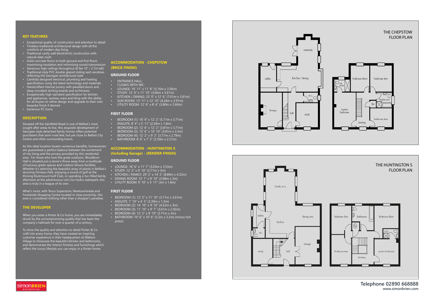**Telephone 02890 668888 www.simonbrien.com**







- Exceptional quality of construction and attention to detail
- Timeless traditional architectural design with all the comforts of modern day living
- Traditional cavity wall block/brick construction with natural slate roofs
- Solid concrete floors to both ground and first floors maximising insulation and minimising sound transmission
- Generous high ceilings throughout (8 fee 10" / 2.7m tall) • Traditional style PVC double glazed sliding sash windows
- reflecting the Georgian architectural style
- Carefully designed electrical, plumbing and heating specification using the latest technology and materials
- Handcrafted internal joinery with panelled doors and deep moulded skirting boards and architraves
- Exceptionally high standard specification for kitchen and appliances, sanitary ware and tiling with the ability for all buyers to refine design and upgrade to their own bespoke finish if desired
- Generous PC Sums

### **DESCRIPTION**

Situated off the Saintfield Road in one of Belfast's most sought after areas to live, this exquisite development of Georgian style detached family homes offers potential purchasers that semi-rural feel, but yet close to Belfast City Centre and other surrounding towns.

- BEDROOM (1): 16' 9" x 12' 2" (5.11m x 3.71m)
- ENSUITE: 8' 4" x 5' 11" (2.54m x 1.8m)
- BEDROOM (2): 12' 6" x 12' 2" (3.81m x 3.71m)
- BEDROOM (3): 12' 6" x 10' 10" (3.81m x 3.3m)
- BEDROOM (4): 12' 2" x 9' 2" (3.71m x 2.79m)
- BATHROOM: 8' 6" x 7' 3" (2.59m x 2.21m)

As this ideal location boasts numerous benefits, homeowners are guaranteed a perfect balance between the excitement of city living and the privacy provided by this residential area. For those who love the great outdoors, Woodburn Hall is situated just a stone's throw away from a multitude of luscious green spaces and outdoor leisure facilities. Whether it's admiring the beautiful array of plants in Belfast's stunning Ormeau Park, enjoying a round of golf at the thriving Rockmount Golf Club, or spending a fun-filled family afternoon at the adventurous Let's Go Hydro waterpark, this area is truly in a league of its own.

What's more, with Tesco Superstore, Newtownbreda and Forestside Shopping Centre located in close proximity, this area is considered nothing other than a shopper's paradise.

## **THE DEVELOPER**

When you enter a Porter & Co home, you are immediately struck by the uncompromising quality that has been the company's hallmark for over a quarter of a century.

To show the quality and attention to detail Porter & Co craft into every home, they have created an inspiring customer experience in their headquarters at Wallace Village to showcase the beautiful kitchen and bathrooms, and demonstrate the interior finishes and furnishings which reflect the luxury lifestyle you can enjoy in a Porter home.

# **ACCOMMODATION - CHEPSTOW (BRICK FINISH)**

### **GROUND FLOOR**

- ENTRANCE HALL:
- CLOAKS WITH WC:
- LOUNGE: 16' 11" x 11' 8" (5.16m x 3.56m)
- STUDY: 12' 0" x 11' 10" (3.66m x 3.61m)
- KITCHEN / DINING: 23' 0" x 12' 6" (7.01m x 3.81m)
- SUN ROOM: 13' 11" x 12' 10" (4.24m x 3.91m)
- UTILITY ROOM: 12' 6" x 8' 6" (3.80m x 2.60m)

#### **FIRST FLOOR**

# **ACCOMMODATION - HUNTINGTON S (Including Garage) - (RENDER FINISH)**

#### **GROUND FLOOR**

- LOUNGE: 16' 6" x 11' 7" (5.03m x 3.53m)
- STUDY: 12' 2" x 9' 10" (3.71m x 3m)
- KITCHEN / FAMILY: 29' 2" x 14' 2" (8.89m x 4.32m)
- DINING ROOM: 12' 1" x 9' 10" (3.68m x 3m)
- UTILITY ROOM: 9' 10" x 5' 11" (3m x 1.8m)

### **FIRST FLOOR**

- BEDROOM (1): 12' 2" x 11' 10" (3.71m x 3.61m)
- ENSUITE: 7' 10" x 4' 3" (2.39m x 1.3m)
- BEDROOM (2): 14' 10" x 9' 10" (4.52m x 3m)
- BEDROOM (3): 11' 10" x 9' 7" (3.61m x 2.92m)
- BEDROOM (4): 12' 2" x 9' 10" (3.71m x 3m)
- BATHROOM: 10' 6" x 10' 6" (3.2m x 3.2m) (minus hot press)